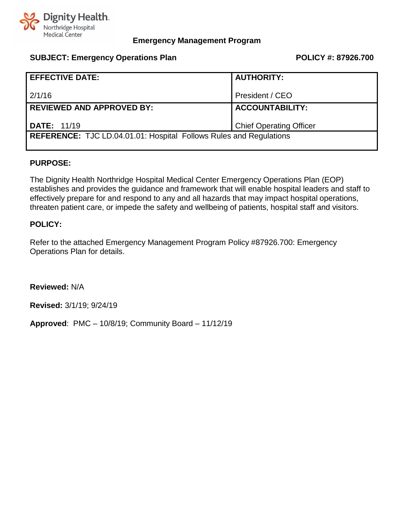

## **SUBJECT: Emergency Operations Plan POLICY #: 87926.700**

| <b>EFFECTIVE DATE:</b>                                                    | <b>AUTHORITY:</b>              |  |
|---------------------------------------------------------------------------|--------------------------------|--|
| 2/1/16                                                                    | President / CEO                |  |
| <b>REVIEWED AND APPROVED BY:</b>                                          | <b>ACCOUNTABILITY:</b>         |  |
| <b>DATE: 11/19</b>                                                        | <b>Chief Operating Officer</b> |  |
| <b>REFERENCE:</b> TJC LD.04.01.01: Hospital Follows Rules and Regulations |                                |  |

## **PURPOSE:**

The Dignity Health Northridge Hospital Medical Center Emergency Operations Plan (EOP) establishes and provides the guidance and framework that will enable hospital leaders and staff to effectively prepare for and respond to any and all hazards that may impact hospital operations, threaten patient care, or impede the safety and wellbeing of patients, hospital staff and visitors.

## **POLICY:**

Refer to the attached Emergency Management Program Policy #87926.700: Emergency Operations Plan for details.

**Reviewed:** N/A

**Revised:** 3/1/19; 9/24/19

**Approved**: PMC – 10/8/19; Community Board – 11/12/19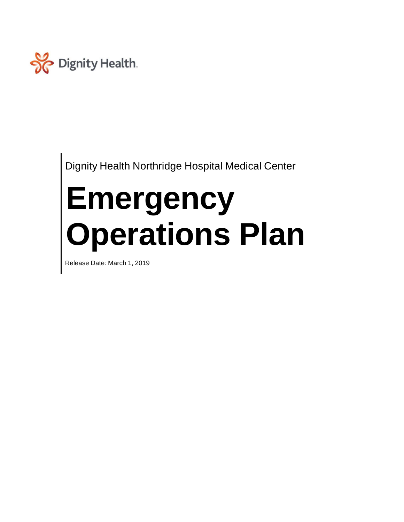

Dignity Health Northridge Hospital Medical Center

# **Emergency Operations Plan**

Release Date: March 1, 2019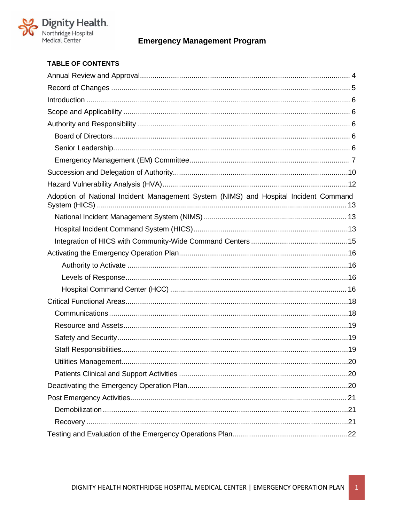

## **TABLE OF CONTENTS**

| Adoption of National Incident Management System (NIMS) and Hospital Incident Command |
|--------------------------------------------------------------------------------------|
|                                                                                      |
|                                                                                      |
|                                                                                      |
|                                                                                      |
|                                                                                      |
|                                                                                      |
|                                                                                      |
|                                                                                      |
|                                                                                      |
|                                                                                      |
|                                                                                      |
|                                                                                      |
|                                                                                      |
|                                                                                      |
|                                                                                      |
|                                                                                      |
|                                                                                      |
|                                                                                      |
|                                                                                      |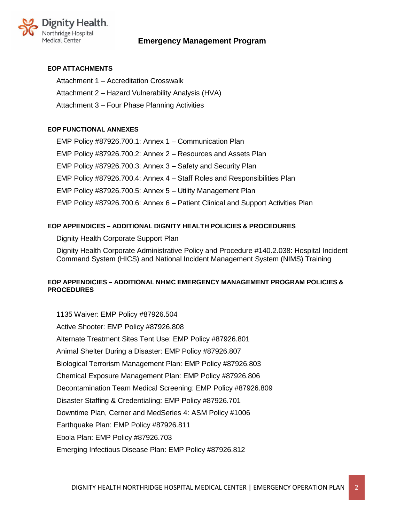

## **EOP ATTACHMENTS**

Attachment 1 – Accreditation Crosswalk Attachment 2 – Hazard Vulnerability Analysis (HVA) Attachment 3 – Four Phase Planning Activities

## **EOP FUNCTIONAL ANNEXES**

EMP Policy #87926.700.1: Annex 1 – Communication Plan EMP Policy #87926.700.2: Annex 2 – Resources and Assets Plan EMP Policy #87926.700.3: Annex 3 – Safety and Security Plan EMP Policy #87926.700.4: Annex 4 – Staff Roles and Responsibilities Plan EMP Policy #87926.700.5: Annex 5 – Utility Management Plan EMP Policy #87926.700.6: Annex 6 – Patient Clinical and Support Activities Plan

## **EOP APPENDICES – ADDITIONAL DIGNITY HEALTH POLICIES & PROCEDURES**

Dignity Health Corporate Support Plan

Dignity Health Corporate Administrative Policy and Procedure #140.2.038: Hospital Incident Command System (HICS) and National Incident Management System (NIMS) Training

## **EOP APPENDICIES – ADDITIONAL NHMC EMERGENCY MANAGEMENT PROGRAM POLICIES & PROCEDURES**

1135 Waiver: EMP Policy #87926.504 Active Shooter: EMP Policy #87926.808 Alternate Treatment Sites Tent Use: EMP Policy #87926.801 Animal Shelter During a Disaster: EMP Policy #87926.807 Biological Terrorism Management Plan: EMP Policy #87926.803 Chemical Exposure Management Plan: EMP Policy #87926.806 Decontamination Team Medical Screening: EMP Policy #87926.809 Disaster Staffing & Credentialing: EMP Policy #87926.701 Downtime Plan, Cerner and MedSeries 4: ASM Policy #1006 Earthquake Plan: EMP Policy #87926.811 Ebola Plan: EMP Policy #87926.703 Emerging Infectious Disease Plan: EMP Policy #87926.812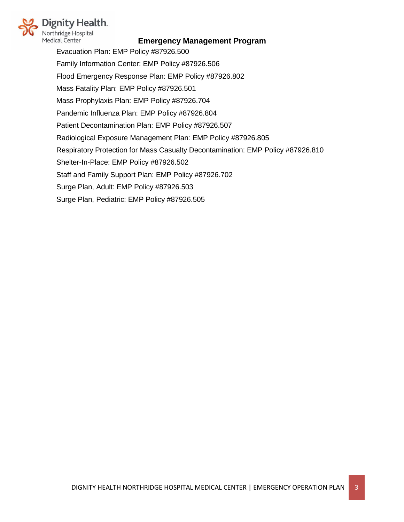

Evacuation Plan: EMP Policy #87926.500 Family Information Center: EMP Policy #87926.506 Flood Emergency Response Plan: EMP Policy #87926.802 Mass Fatality Plan: EMP Policy #87926.501 Mass Prophylaxis Plan: EMP Policy #87926.704 Pandemic Influenza Plan: EMP Policy #87926.804 Patient Decontamination Plan: EMP Policy #87926.507 Radiological Exposure Management Plan: EMP Policy #87926.805 Respiratory Protection for Mass Casualty Decontamination: EMP Policy #87926.810 Shelter-In-Place: EMP Policy #87926.502 Staff and Family Support Plan: EMP Policy #87926.702 Surge Plan, Adult: EMP Policy #87926.503 Surge Plan, Pediatric: EMP Policy #87926.505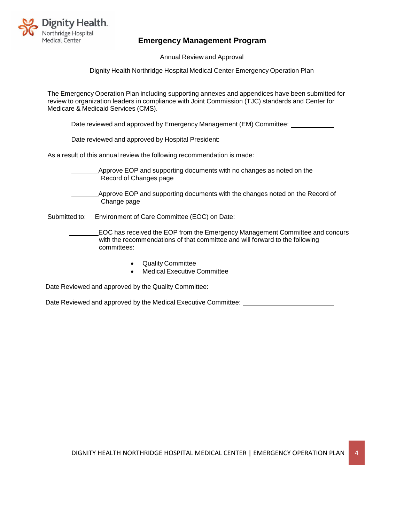

Annual Review and Approval

Dignity Health Northridge Hospital Medical Center Emergency Operation Plan

<span id="page-6-0"></span>The Emergency Operation Plan including supporting annexes and appendices have been submitted for review to organization leaders in compliance with Joint Commission (TJC) standards and Center for Medicare & Medicaid Services (CMS).

Date reviewed and approved by Emergency Management (EM) Committee:

Date reviewed and approved by Hospital President:

As a result of this annual review the following recommendation is made:

Approve EOP and supporting documents with no changes as noted on the Record of Changes page

Approve EOP and supporting documents with the changes noted on the Record of Change page

Submitted to: Environment of Care Committee (EOC) on Date:

EOC has received the EOP from the Emergency Management Committee and concurs with the recommendations of that committee and will forward to the following committees:

- Quality Committee
- Medical Executive Committee

Date Reviewed and approved by the Quality Committee:

Date Reviewed and approved by the Medical Executive Committee: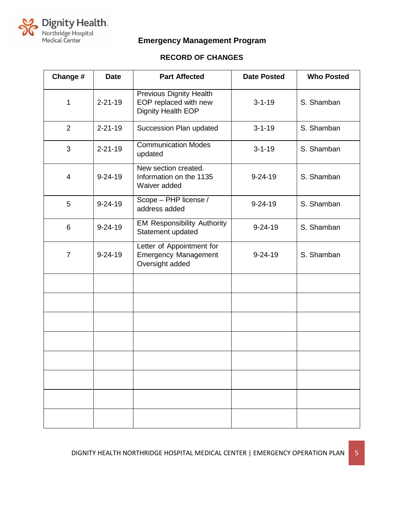

# **RECORD OF CHANGES**

<span id="page-7-0"></span>

| Change #       | <b>Date</b>   | <b>Part Affected</b>                                                          | <b>Date Posted</b> | <b>Who Posted</b> |
|----------------|---------------|-------------------------------------------------------------------------------|--------------------|-------------------|
| 1              | $2 - 21 - 19$ | <b>Previous Dignity Health</b><br>EOP replaced with new<br>Dignity Health EOP | $3 - 1 - 19$       | S. Shamban        |
| $\overline{2}$ | $2 - 21 - 19$ | Succession Plan updated                                                       | $3 - 1 - 19$       | S. Shamban        |
| 3              | $2 - 21 - 19$ | <b>Communication Modes</b><br>updated                                         | $3 - 1 - 19$       | S. Shamban        |
| 4              | $9 - 24 - 19$ | New section created.<br>Information on the 1135<br>Waiver added               | $9 - 24 - 19$      | S. Shamban        |
| 5              | $9 - 24 - 19$ | Scope - PHP license /<br>address added                                        | $9 - 24 - 19$      | S. Shamban        |
| 6              | $9 - 24 - 19$ | <b>EM Responsibility Authority</b><br>Statement updated                       | $9 - 24 - 19$      | S. Shamban        |
| $\overline{7}$ | $9 - 24 - 19$ | Letter of Appointment for<br><b>Emergency Management</b><br>Oversight added   | $9 - 24 - 19$      | S. Shamban        |
|                |               |                                                                               |                    |                   |
|                |               |                                                                               |                    |                   |
|                |               |                                                                               |                    |                   |
|                |               |                                                                               |                    |                   |
|                |               |                                                                               |                    |                   |
|                |               |                                                                               |                    |                   |
|                |               |                                                                               |                    |                   |
|                |               |                                                                               |                    |                   |

DIGNITY HEALTH NORTHRIDGE HOSPITAL MEDICAL CENTER | EMERGENCY OPERATION PLAN | 5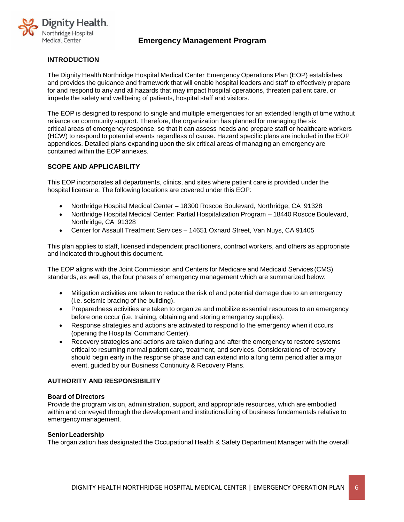

## <span id="page-8-0"></span>**INTRODUCTION**

The Dignity Health Northridge Hospital Medical Center Emergency Operations Plan (EOP) establishes and provides the guidance and framework that will enable hospital leaders and staff to effectively prepare for and respond to any and all hazards that may impact hospital operations, threaten patient care, or impede the safety and wellbeing of patients, hospital staff and visitors.

The EOP is designed to respond to single and multiple emergencies for an extended length of time without reliance on community support. Therefore, the organization has planned for managing the six critical areas of emergency response, so that it can assess needs and prepare staff or healthcare workers (HCW) to respond to potential events regardless of cause. Hazard specific plans are included in the EOP appendices. Detailed plans expanding upon the six critical areas of managing an emergency are contained within the EOP annexes.

## <span id="page-8-1"></span>**SCOPE AND APPLICABILITY**

This EOP incorporates all departments, clinics, and sites where patient care is provided under the hospital licensure. The following locations are covered under this EOP:

- Northridge Hospital Medical Center 18300 Roscoe Boulevard, Northridge, CA 91328
- Northridge Hospital Medical Center: Partial Hospitalization Program 18440 Roscoe Boulevard, Northridge, CA 91328
- Center for Assault Treatment Services 14651 Oxnard Street, Van Nuys, CA 91405

This plan applies to staff, licensed independent practitioners, contract workers, and others as appropriate and indicated throughout this document.

The EOP aligns with the Joint Commission and Centers for Medicare and Medicaid Services (CMS) standards, as well as, the four phases of emergency management which are summarized below:

- Mitigation activities are taken to reduce the risk of and potential damage due to an emergency (i.e. seismic bracing of the building).
- Preparedness activities are taken to organize and mobilize essential resources to an emergency before one occur (i.e. training, obtaining and storing emergency supplies).
- Response strategies and actions are activated to respond to the emergency when it occurs (opening the Hospital Command Center).
- Recovery strategies and actions are taken during and after the emergency to restore systems critical to resuming normal patient care, treatment, and services. Considerations of recovery should begin early in the response phase and can extend into a long term period after a major event, guided by our Business Continuity & Recovery Plans.

#### <span id="page-8-2"></span>**AUTHORITY AND RESPONSIBILITY**

#### <span id="page-8-3"></span>**Board of Directors**

Provide the program vision, administration, support, and appropriate resources, which are embodied within and conveyed through the development and institutionalizing of business fundamentals relative to emergencymanagement.

#### <span id="page-8-4"></span>**Senior Leadership**

The organization has designated the Occupational Health & Safety Department Manager with the overall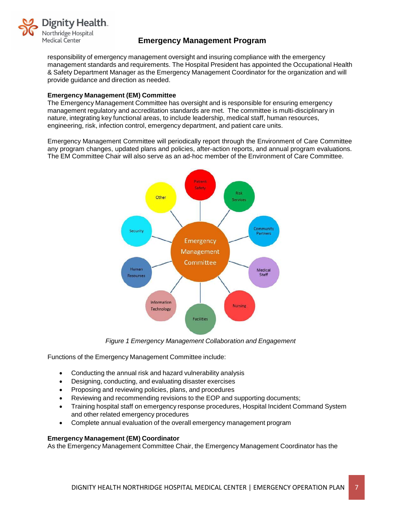

responsibility of emergency management oversight and insuring compliance with the emergency management standards and requirements. The Hospital President has appointed the Occupational Health & Safety Department Manager as the Emergency Management Coordinator for the organization and will provide guidance and direction as needed.

#### <span id="page-9-0"></span>**Emergency Management (EM) Committee**

The Emergency Management Committee has oversight and is responsible for ensuring emergency management regulatory and accreditation standards are met. The committee is multi-disciplinary in nature, integrating key functional areas, to include leadership, medical staff, human resources, engineering, risk, infection control, emergency department, and patient care units.

Emergency Management Committee will periodically report through the Environment of Care Committee any program changes, updated plans and policies, after-action reports, and annual program evaluations. The EM Committee Chair will also serve as an ad-hoc member of the Environment of Care Committee.



*Figure 1 Emergency Management Collaboration and Engagement*

Functions of the Emergency Management Committee include:

- Conducting the annual risk and hazard vulnerability analysis
- Designing, conducting, and evaluating disaster exercises
- Proposing and reviewing policies, plans, and procedures
- Reviewing and recommending revisions to the EOP and supporting documents;
- Training hospital staff on emergency response procedures, Hospital Incident Command System and other related emergency procedures
- Complete annual evaluation of the overall emergency management program

#### **Emergency Management (EM) Coordinator**

As the Emergency Management Committee Chair, the Emergency Management Coordinator has the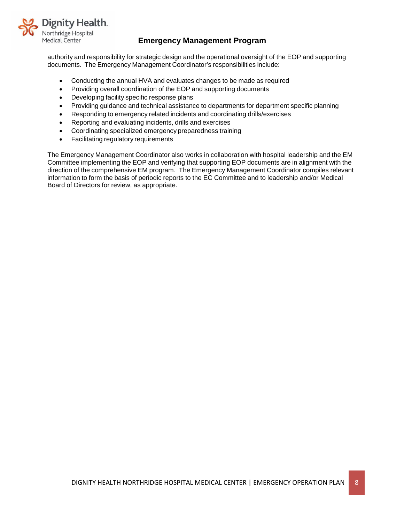

authority and responsibility for strategic design and the operational oversight of the EOP and supporting documents. The Emergency Management Coordinator's responsibilities include:

- Conducting the annual HVA and evaluates changes to be made as required
- Providing overall coordination of the EOP and supporting documents
- Developing facility specific response plans
- Providing guidance and technical assistance to departments for department specific planning
- Responding to emergency related incidents and coordinating drills/exercises
- Reporting and evaluating incidents, drills and exercises
- Coordinating specialized emergency preparedness training
- Facilitating regulatory requirements

The Emergency Management Coordinator also works in collaboration with hospital leadership and the EM Committee implementing the EOP and verifying that supporting EOP documents are in alignment with the direction of the comprehensive EM program. The Emergency Management Coordinator compiles relevant information to form the basis of periodic reports to the EC Committee and to leadership and/or Medical Board of Directors for review, as appropriate.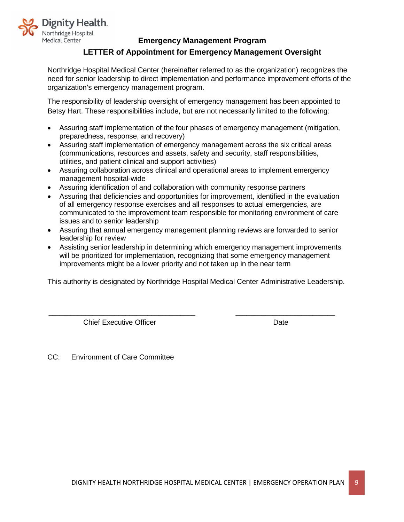

## **LETTER of Appointment for Emergency Management Oversight**

Northridge Hospital Medical Center (hereinafter referred to as the organization) recognizes the need for senior leadership to direct implementation and performance improvement efforts of the organization's emergency management program.

The responsibility of leadership oversight of emergency management has been appointed to Betsy Hart. These responsibilities include, but are not necessarily limited to the following:

- Assuring staff implementation of the four phases of emergency management (mitigation, preparedness, response, and recovery)
- Assuring staff implementation of emergency management across the six critical areas (communications, resources and assets, safety and security, staff responsibilities, utilities, and patient clinical and support activities)
- Assuring collaboration across clinical and operational areas to implement emergency management hospital-wide
- Assuring identification of and collaboration with community response partners
- Assuring that deficiencies and opportunities for improvement, identified in the evaluation of all emergency response exercises and all responses to actual emergencies, are communicated to the improvement team responsible for monitoring environment of care issues and to senior leadership
- Assuring that annual emergency management planning reviews are forwarded to senior leadership for review
- Assisting senior leadership in determining which emergency management improvements will be prioritized for implementation, recognizing that some emergency management improvements might be a lower priority and not taken up in the near term

This authority is designated by Northridge Hospital Medical Center Administrative Leadership.

 $\overline{\phantom{a}}$  , and the set of the set of the set of the set of the set of the set of the set of the set of the set of the set of the set of the set of the set of the set of the set of the set of the set of the set of the s

**Chief Executive Officer Chief Executive Officer Chief Chief Executive Officer Chief Chief Chief Chief Chief Chief Chief Chief Chief Chief Chief Chief Chief Chief Chief Chief Chief Chief Chief Chief Chief Chief Chief Chief** 

CC: Environment of Care Committee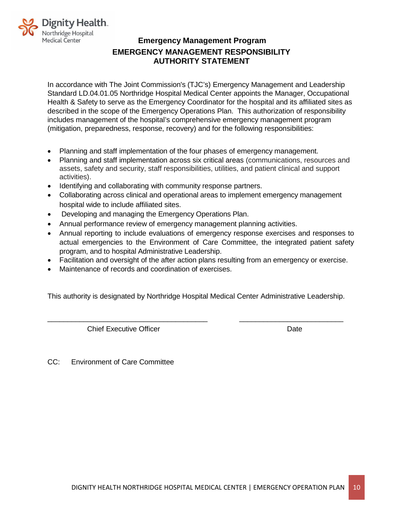

# **Emergency Management Program EMERGENCY MANAGEMENT RESPONSIBILITY AUTHORITY STATEMENT**

In accordance with The Joint Commission's (TJC's) Emergency Management and Leadership Standard LD.04.01.05 Northridge Hospital Medical Center appoints the Manager, Occupational Health & Safety to serve as the Emergency Coordinator for the hospital and its affiliated sites as described in the scope of the Emergency Operations Plan. This authorization of responsibility includes management of the hospital's comprehensive emergency management program (mitigation, preparedness, response, recovery) and for the following responsibilities:

- Planning and staff implementation of the four phases of emergency management.
- Planning and staff implementation across six critical areas (communications, resources and assets, safety and security, staff responsibilities, utilities, and patient clinical and support activities).
- Identifying and collaborating with community response partners.
- Collaborating across clinical and operational areas to implement emergency management hospital wide to include affiliated sites.
- Developing and managing the Emergency Operations Plan.
- Annual performance review of emergency management planning activities.
- Annual reporting to include evaluations of emergency response exercises and responses to actual emergencies to the Environment of Care Committee, the integrated patient safety program, and to hospital Administrative Leadership.
- Facilitation and oversight of the after action plans resulting from an emergency or exercise.
- Maintenance of records and coordination of exercises.

This authority is designated by Northridge Hospital Medical Center Administrative Leadership.

\_\_\_\_\_\_\_\_\_\_\_\_\_\_\_\_\_\_\_\_\_\_\_\_\_\_\_\_\_\_\_\_\_\_\_\_\_\_\_\_ \_\_\_\_\_\_\_\_\_\_\_\_\_\_\_\_\_\_\_\_\_\_\_\_\_\_

**Chief Executive Officer Chief Executive Officer Chief Chief Act of Chief Act Of Chief Act Of Chief Act Of Chief Act Of Chief Act Of Chief Act Of Chief Act Of Chief Act Of Chief Act Of Chief Act Of Chief Act Of Chief Act O** 

<span id="page-12-0"></span>CC: Environment of Care Committee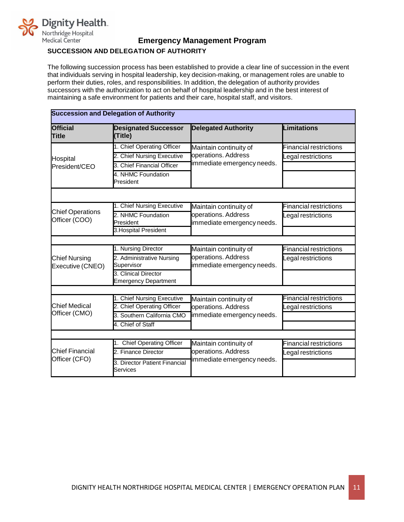

## **SUCCESSION AND DELEGATION OF AUTHORITY**

The following succession process has been established to provide a clear line of succession in the event that individuals serving in hospital leadership, key decision-making, or management roles are unable to perform their duties, roles, and responsibilities. In addition, the delegation of authority provides successors with the authorization to act on behalf of hospital leadership and in the best interest of maintaining a safe environment for patients and their care, hospital staff, and visitors.

| <b>Succession and Delegation of Authority</b> |                                                     |                                                   |                               |
|-----------------------------------------------|-----------------------------------------------------|---------------------------------------------------|-------------------------------|
| <b>Official</b><br>Title                      | <b>Designated Successor</b><br>(Title)              | <b>Delegated Authority</b>                        | <b>Limitations</b>            |
|                                               | 1. Chief Operating Officer                          | Maintain continuity of                            | <b>Financial restrictions</b> |
| Hospital                                      | 2. Chief Nursing Executive                          | operations. Address                               | egal restrictions             |
| President/CEO                                 | 3. Chief Financial Officer                          | immediate emergency needs.                        |                               |
|                                               | 4. NHMC Foundation<br>President                     |                                                   |                               |
|                                               |                                                     |                                                   |                               |
|                                               | 1. Chief Nursing Executive                          | Maintain continuity of                            | <b>Financial restrictions</b> |
| <b>Chief Operations</b><br>Officer (COO)      | 2. NHMC Foundation<br>President                     | operations. Address<br>immediate emergency needs. | egal restrictions             |
|                                               | 3. Hospital President                               |                                                   |                               |
|                                               |                                                     |                                                   |                               |
|                                               | 1. Nursing Director                                 | Maintain continuity of                            | <b>Financial restrictions</b> |
| <b>Chief Nursing</b><br>Executive (CNEO)      | 2. Administrative Nursing<br>Supervisor             | operations. Address<br>immediate emergency needs. | egal restrictions             |
|                                               | 3. Clinical Director<br><b>Emergency Department</b> |                                                   |                               |
|                                               |                                                     |                                                   |                               |
|                                               | 1. Chief Nursing Executive                          | Maintain continuity of                            | <b>Financial restrictions</b> |
| <b>Chief Medical</b>                          | 2. Chief Operating Officer                          | operations. Address                               | egal restrictions             |
| Officer (CMO)                                 | 3. Southern California CMO                          | immediate emergency needs.                        |                               |
|                                               | 4. Chief of Staff                                   |                                                   |                               |
|                                               |                                                     |                                                   |                               |
|                                               | 1. Chief Operating Officer                          | Maintain continuity of                            | <b>Financial restrictions</b> |
| <b>Chief Financial</b>                        | 2. Finance Director                                 | operations. Address                               | egal restrictions             |
| Officer (CFO)                                 | 3. Director Patient Financial<br>Services           | immediate emergency needs.                        |                               |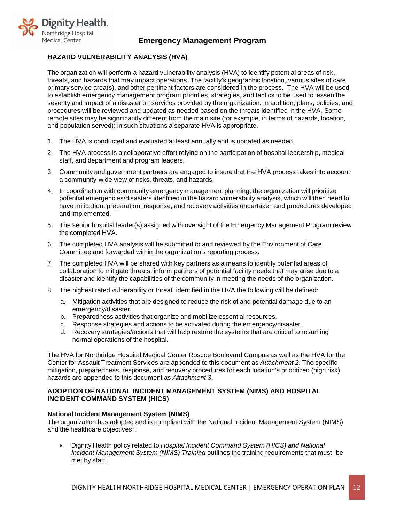

## <span id="page-14-0"></span>**HAZARD VULNERABILITY ANALYSIS (HVA)**

The organization will perform a hazard vulnerability analysis (HVA) to identify potential areas of risk, threats, and hazards that may impact operations. The facility's geographic location, various sites of care, primary service area(s), and other pertinent factors are considered in the process. The HVA will be used to establish emergency management program priorities, strategies, and tactics to be used to lessen the severity and impact of a disaster on services provided by the organization. In addition, plans, policies, and procedures will be reviewed and updated as needed based on the threats identified in the HVA. Some remote sites may be significantly different from the main site (for example, in terms of hazards, location, and population served); in such situations a separate HVA is appropriate.

- 1. The HVA is conducted and evaluated at least annually and is updated as needed.
- 2. The HVA process is a collaborative effort relying on the participation of hospital leadership, medical staff, and department and program leaders.
- 3. Community and government partners are engaged to insure that the HVA process takes into account a community-wide view of risks, threats, and hazards.
- 4. In coordination with community emergency management planning, the organization will prioritize potential emergencies/disasters identified in the hazard vulnerability analysis, which will then need to have mitigation, preparation, response, and recovery activities undertaken and procedures developed and implemented.
- 5. The senior hospital leader(s) assigned with oversight of the Emergency Management Program review the completed HVA.
- 6. The completed HVA analysis will be submitted to and reviewed by the Environment of Care Committee and forwarded within the organization's reporting process.
- 7. The completed HVA will be shared with key partners as a means to identify potential areas of collaboration to mitigate threats; inform partners of potential facility needs that may arise due to a disaster and identify the capabilities of the community in meeting the needs of the organization.
- 8. The highest rated vulnerability or threat identified in the HVA the following will be defined:
	- a. Mitigation activities that are designed to reduce the risk of and potential damage due to an emergency/disaster.
	- b. Preparedness activities that organize and mobilize essential resources.
	- c. Response strategies and actions to be activated during the emergency/disaster.
	- d. Recovery strategies/actions that will help restore the systems that are critical to resuming normal operations of the hospital.

The HVA for Northridge Hospital Medical Center Roscoe Boulevard Campus as well as the HVA for the Center for Assault Treatment Services are appended to this document as *Attachment 2*. The specific mitigation, preparedness, response, and recovery procedures for each location's prioritized (high risk) hazards are appended to this document as *Attachment 3*.

#### <span id="page-14-1"></span>**ADOPTION OF NATIONAL INCIDENT MANAGEMENT SYSTEM (NIMS) AND HOSPITAL INCIDENT COMMAND SYSTEM (HICS)**

#### <span id="page-14-2"></span>**National Incident Management System (NIMS)**

The organization has adopted and is compliant with the National Incident Management System (NIMS) and the healthcare objectives $^1$ .

• Dignity Health policy related to *Hospital Incident Command System (HICS) and National Incident Management System (NIMS) Training* outlines the training requirements that must be met by staff.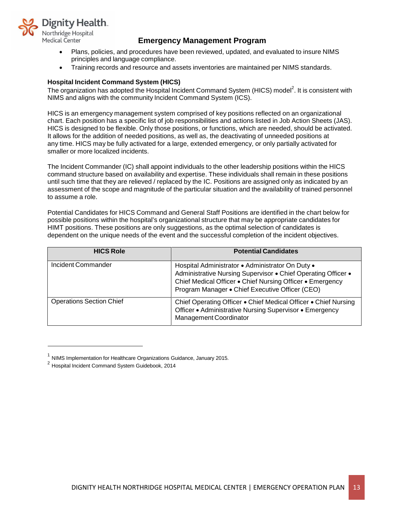

- Plans, policies, and procedures have been reviewed, updated, and evaluated to insure NIMS principles and language compliance.
- Training records and resource and assets inventories are maintained per NIMS standards.

## <span id="page-15-0"></span>**Hospital Incident Command System (HICS)**

The organization has adopted the Hospital Incident Command System (HICS) model $^2$ . It is consistent with NIMS and aligns with the community Incident Command System (ICS).

HICS is an emergency management system comprised of key positions reflected on an organizational chart. Each position has a specific list of job responsibilities and actions listed in Job Action Sheets (JAS). HICS is designed to be flexible. Only those positions, or functions, which are needed, should be activated. It allows for the addition of needed positions, as well as, the deactivating of unneeded positions at any time. HICS may be fully activated for a large, extended emergency, or only partially activated for smaller or more localized incidents.

The Incident Commander (IC) shall appoint individuals to the other leadership positions within the HICS command structure based on availability and expertise. These individuals shall remain in these positions until such time that they are relieved / replaced by the IC. Positions are assigned only as indicated by an assessment of the scope and magnitude of the particular situation and the availability of trained personnel to assume a role.

Potential Candidates for HICS Command and General Staff Positions are identified in the chart below for possible positions within the hospital's organizational structure that may be appropriate candidates for HIMT positions. These positions are only suggestions, as the optimal selection of candidates is dependent on the unique needs of the event and the successful completion of the incident objectives.

| <b>HICS Role</b>                | <b>Potential Candidates</b>                                                                                                                                                                                                       |
|---------------------------------|-----------------------------------------------------------------------------------------------------------------------------------------------------------------------------------------------------------------------------------|
| Incident Commander              | Hospital Administrator • Administrator On Duty •<br>Administrative Nursing Supervisor . Chief Operating Officer .<br>Chief Medical Officer • Chief Nursing Officer • Emergency<br>Program Manager • Chief Executive Officer (CEO) |
| <b>Operations Section Chief</b> | Chief Operating Officer . Chief Medical Officer . Chief Nursing<br>Officer • Administrative Nursing Supervisor • Emergency<br><b>Management Coordinator</b>                                                                       |

 $1$  NIMS Implementation for Healthcare Organizations Guidance, January 2015.

<sup>2</sup> Hospital Incident Command System Guidebook, <sup>2014</sup>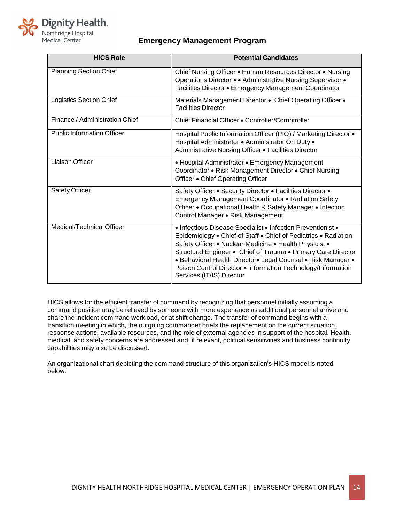

| <b>HICS Role</b>                  | <b>Potential Candidates</b>                                                                                                                                                                                                                                                                                                                                                                                            |
|-----------------------------------|------------------------------------------------------------------------------------------------------------------------------------------------------------------------------------------------------------------------------------------------------------------------------------------------------------------------------------------------------------------------------------------------------------------------|
| <b>Planning Section Chief</b>     | Chief Nursing Officer • Human Resources Director • Nursing<br>Operations Director • • Administrative Nursing Supervisor •<br>Facilities Director • Emergency Management Coordinator                                                                                                                                                                                                                                    |
| <b>Logistics Section Chief</b>    | Materials Management Director . Chief Operating Officer .<br><b>Facilities Director</b>                                                                                                                                                                                                                                                                                                                                |
| Finance / Administration Chief    | Chief Financial Officer . Controller/Comptroller                                                                                                                                                                                                                                                                                                                                                                       |
| <b>Public Information Officer</b> | Hospital Public Information Officer (PIO) / Marketing Director •<br>Hospital Administrator · Administrator On Duty ·<br>Administrative Nursing Officer . Facilities Director                                                                                                                                                                                                                                           |
| <b>Liaison Officer</b>            | • Hospital Administrator • Emergency Management<br>Coordinator • Risk Management Director • Chief Nursing<br>Officer • Chief Operating Officer                                                                                                                                                                                                                                                                         |
| Safety Officer                    | Safety Officer . Security Director . Facilities Director .<br>Emergency Management Coordinator • Radiation Safety<br>Officer • Occupational Health & Safety Manager • Infection<br>Control Manager • Risk Management                                                                                                                                                                                                   |
| Medical/Technical Officer         | • Infectious Disease Specialist • Infection Preventionist •<br>Epidemiology . Chief of Staff . Chief of Pediatrics . Radiation<br>Safety Officer • Nuclear Medicine • Health Physicist •<br>Structural Engineer • Chief of Trauma • Primary Care Director<br>• Behavioral Health Director• Legal Counsel • Risk Manager •<br>Poison Control Director • Information Technology/Information<br>Services (IT/IS) Director |

HICS allows for the efficient transfer of command by recognizing that personnel initially assuming a command position may be relieved by someone with more experience as additional personnel arrive and share the incident command workload, or at shift change. The transfer of command begins with a transition meeting in which, the outgoing commander briefs the replacement on the current situation, response actions, available resources, and the role of external agencies in support of the hospital. Health, medical, and safety concerns are addressed and, if relevant, political sensitivities and business continuity capabilities may also be discussed.

An organizational chart depicting the command structure of this organization's HICS model is noted below: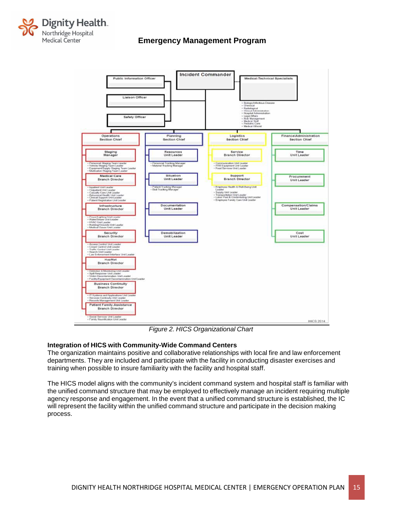



*Figure 2. HICS Organizational Chart*

## <span id="page-17-0"></span>**Integration of HICS with Community-Wide Command Centers**

The organization maintains positive and collaborative relationships with local fire and law enforcement departments. They are included and participate with the facility in conducting disaster exercises and training when possible to insure familiarity with the facility and hospital staff.

The HICS model aligns with the community's incident command system and hospital staff is familiar with the unified command structure that may be employed to effectively manage an incident requiring multiple agency response and engagement. In the event that a unified command structure is established, the IC will represent the facility within the unified command structure and participate in the decision making process.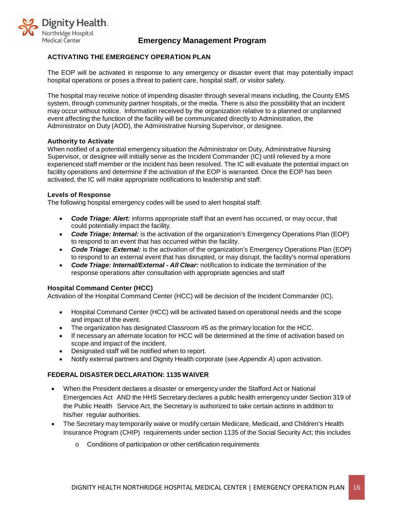

## <span id="page-18-0"></span>**ACTIVATING THE EMERGENCY OPERATION PLAN**

The EOP will be activated in response to any emergency or disaster event that may potentially impact hospital operations or poses a threat to patient care, hospital staff, or visitor safety.

The hospital may receive notice of impending disaster through several means including, the County EMS system, through community partner hospitals, or the media. There is also the possibility that an incident may occur without notice. Information received by the organization relative to a planned or unplanned event affecting the function of the facility will be communicated directly to Administration, the Administrator on Duty (AOD), the Administrative Nursing Supervisor, or designee.

#### <span id="page-18-1"></span>**Authority to Activate**

When notified of a potential emergency situation the Administrator on Duty, Administrative Nursing Supervisor, or designee will initially serve as the Incident Commander (IC) until relieved by a more experienced staff member or the incident has been resolved. The IC will evaluate the potential impact on facility operations and determine if the activation of the EOP is warranted. Once the EOP has been activated, the IC will make appropriate notifications to leadership and staff.

#### <span id="page-18-2"></span>**Levels of Response**

The following hospital emergency codes will be used to alert hospital staff:

- *Code Triage: Alert:* informs appropriate staff that an event has occurred, or may occur, that could potentially impact the facility.
- *Code Triage: Internal:* is the activation of the organization's Emergency Operations Plan (EOP) to respond to an event that has occurred within the facility.
- *Code Triage: External:* is the activation of the organization's Emergency Operations Plan (EOP) to respond to an external event that has disrupted, or may disrupt, the facility's normal operations
- *Code Triage: Internal/External - All Clear:* notification to indicate the termination of the response operations after consultation with appropriate agencies and staff

#### <span id="page-18-3"></span>**Hospital Command Center (HCC)**

Activation of the Hospital Command Center (HCC) will be decision of the Incident Commander (IC).

- Hospital Command Center (HCC) will be activated based on operational needs and the scope and impact of the event.
- The organization has designated Classroom #5 as the primary location for the HCC.
- If necessary an alternate location for HCC will be determined at the time of activation based on scope and impact of the incident.
- Designated staff will be notified when to report.
- Notify external partners and Dignity Health corporate (see *Appendix A*) upon activation.

#### **FEDERAL DISASTER DECLARATION: 1135 WAIVER**

- When the President declares a disaster or emergency under the Stafford Act or National Emergencies Act AND the HHS Secretary declares a public health emergency under Section 319 of the Public Health Service Act, the Secretary is authorized to take certain actions in addition to his/her regular authorities.
- The Secretary may temporarily waive or modify certain Medicare, Medicaid, and Children's Health Insurance Program (CHIP) requirements under section 1135 of the Social Security Act; this includes
	- o Conditions of participation or other certification requirements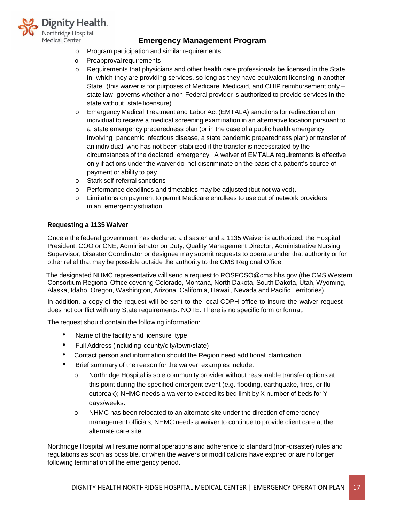

- o Program participation and similar requirements
- o Preapprovalrequirements
- o Requirements that physicians and other health care professionals be licensed in the State in which they are providing services, so long as they have equivalent licensing in another State (this waiver is for purposes of Medicare, Medicaid, and CHIP reimbursement only – state law governs whether a non-Federal provider is authorized to provide services in the state without state licensure)
- o Emergency Medical Treatment and Labor Act (EMTALA) sanctions for redirection of an individual to receive a medical screening examination in an alternative location pursuant to a state emergency preparedness plan (or in the case of a public health emergency involving pandemic infectious disease, a state pandemic preparedness plan) or transfer of an individual who has not been stabilized if the transfer is necessitated by the circumstances of the declared emergency. A waiver of EMTALA requirements is effective only if actions under the waiver do not discriminate on the basis of a patient's source of payment or ability to pay.
- o Stark self-referral sanctions
- o Performance deadlines and timetables may be adjusted (but not waived).
- o Limitations on payment to permit Medicare enrollees to use out of network providers in an emergencysituation

## **Requesting a 1135 Waiver**

Once a the federal government has declared a disaster and a 1135 Waiver is authorized, the Hospital President, COO or CNE; Administrator on Duty, Quality Management Director, Administrative Nursing Supervisor, Disaster Coordinator or designee may submit requests to operate under that authority or for other relief that may be possible outside the authority to the CMS Regional Office.

The designated NHMC representative will send a request to [ROSFOSO@cms.hhs.gov](mailto:ROSFOSO@cms.hhs.gov) (the CMS Western Consortium Regional Office covering Colorado, Montana, North Dakota, South Dakota, Utah, Wyoming, Alaska, Idaho, Oregon, Washington, Arizona, California, Hawaii, Nevada and Pacific Territories).

In addition, a copy of the request will be sent to the local CDPH office to insure the waiver request does not conflict with any State requirements. NOTE: There is no specific form or format.

The request should contain the following information:

- Name of the facility and licensure type
- Full Address (including county/city/town/state)
- Contact person and information should the Region need additional clarification
- Brief summary of the reason for the waiver; examples include:
	- o Northridge Hospital is sole community provider without reasonable transfer options at this point during the specified emergent event (e.g. flooding, earthquake, fires, or flu outbreak); NHMC needs a waiver to exceed its bed limit by X number of beds for Y days/weeks.
	- o NHMC has been relocated to an alternate site under the direction of emergency management officials; NHMC needs a waiver to continue to provide client care at the alternate care site.

Northridge Hospital will resume normal operations and adherence to standard (non-disaster) rules and regulations as soon as possible, or when the waivers or modifications have expired or are no longer following termination of the emergency period.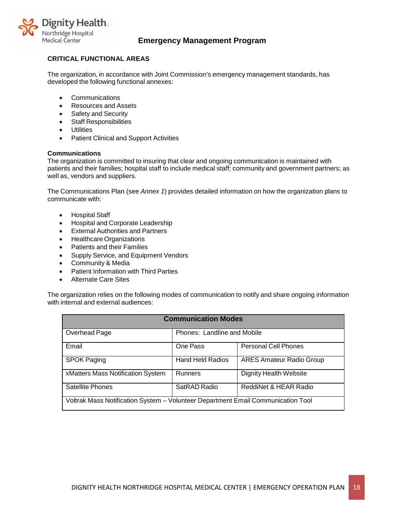

## <span id="page-20-0"></span>**CRITICAL FUNCTIONAL AREAS**

The organization, in accordance with Joint Commission's emergency management standards, has developed the following functional annexes:

- Communications
- Resources and Assets
- Safety and Security
- Staff Responsibilities
- Utilities
- Patient Clinical and Support Activities

#### <span id="page-20-1"></span>**Communications**

The organization is committed to insuring that clear and ongoing communication is maintained with patients and their families; hospital staff to include medical staff; community and government partners; as well as, vendors and suppliers.

The Communications Plan (see *Annex 1*) provides detailed information on how the organization plans to communicate with:

- Hospital Staff
- Hospital and Corporate Leadership
- External Authorities and Partners
- Healthcare Organizations
- Patients and their Families
- Supply Service, and Equipment Vendors
- Community & Media
- Patient Information with Third Parties
- Alternate Care Sites

The organization relies on the following modes of communication to notify and share ongoing information with internal and external audiences:

| <b>Communication Modes</b>                                                       |                             |                                 |  |
|----------------------------------------------------------------------------------|-----------------------------|---------------------------------|--|
| Overhead Page                                                                    | Phones: Landline and Mobile |                                 |  |
| Email                                                                            | One Pass                    | <b>Personal Cell Phones</b>     |  |
| <b>SPOK Paging</b>                                                               | <b>Hand Held Radios</b>     | <b>ARES Amateur Radio Group</b> |  |
| xMatters Mass Notification System                                                | <b>Runners</b>              | Dignity Health Website          |  |
| Satellite Phones                                                                 | SatRAD Radio                | ReddiNet & HEAR Radio           |  |
| Voltrak Mass Notification System - Volunteer Department Email Communication Tool |                             |                                 |  |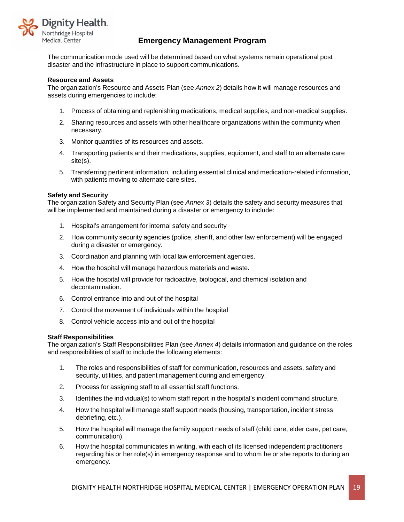

The communication mode used will be determined based on what systems remain operational post disaster and the infrastructure in place to support communications.

#### <span id="page-21-0"></span>**Resource and Assets**

The organization's Resource and Assets Plan (see *Annex 2*) details how it will manage resources and assets during emergencies to include:

- 1. Process of obtaining and replenishing medications, medical supplies, and non-medical supplies.
- 2. Sharing resources and assets with other healthcare organizations within the community when necessary.
- 3. Monitor quantities of its resources and assets.
- 4. Transporting patients and their medications, supplies, equipment, and staff to an alternate care site(s).
- 5. Transferring pertinent information, including essential clinical and medication-related information, with patients moving to alternate care sites.

#### <span id="page-21-1"></span>**Safety and Security**

The organization Safety and Security Plan (see *Annex 3*) details the safety and security measures that will be implemented and maintained during a disaster or emergency to include:

- 1. Hospital's arrangement for internal safety and security
- 2. How community security agencies (police, sheriff, and other law enforcement) will be engaged during a disaster or emergency.
- 3. Coordination and planning with local law enforcement agencies.
- 4. How the hospital will manage hazardous materials and waste.
- 5. How the hospital will provide for radioactive, biological, and chemical isolation and decontamination.
- 6. Control entrance into and out of the hospital
- 7. Control the movement of individuals within the hospital
- 8. Control vehicle access into and out of the hospital

#### <span id="page-21-2"></span>**Staff Responsibilities**

The organization's Staff Responsibilities Plan (see *Annex 4*) details information and guidance on the roles and responsibilities of staff to include the following elements:

- 1. The roles and responsibilities of staff for communication, resources and assets, safety and security, utilities, and patient management during and emergency.
- 2. Process for assigning staff to all essential staff functions.
- 3. Identifies the individual(s) to whom staff report in the hospital's incident command structure.
- 4. How the hospital will manage staff support needs (housing, transportation, incident stress debriefing, etc.).
- 5. How the hospital will manage the family support needs of staff (child care, elder care, pet care, communication).
- 6. How the hospital communicates in writing, with each of its licensed independent practitioners regarding his or her role(s) in emergency response and to whom he or she reports to during an emergency.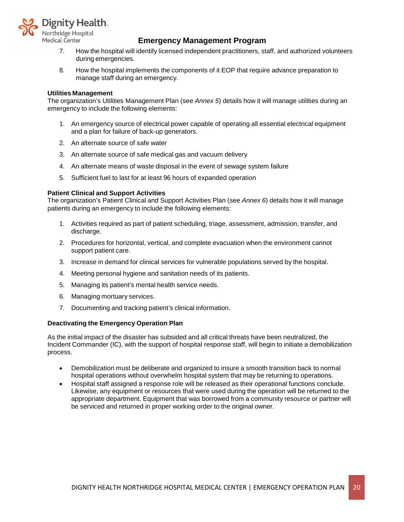

- 7. How the hospital will identify licensed independent practitioners, staff, and authorized volunteers during emergencies.
- <span id="page-22-0"></span>8. How the hospital implements the components of it EOP that require advance preparation to manage staff during an emergency.

#### **Utilities Management**

The organization's Utilities Management Plan (see *Annex 5*) details how it will manage utilities during an emergency to include the following elements:

- 1. An emergency source of electrical power capable of operating all essential electrical equipment and a plan for failure of back-up generators.
- 2. An alternate source of safe water
- 3. An alternate source of safe medical gas and vacuum delivery
- 4. An alternate means of waste disposal in the event of sewage system failure
- 5. Sufficient fuel to last for at least 96 hours of expanded operation

#### <span id="page-22-1"></span>**Patient Clinical and Support Activities**

The organization's Patient Clinical and Support Activities Plan (see *Annex 6*) details how it will manage patients during an emergency to include the following elements:

- 1. Activities required as part of patient scheduling, triage, assessment, admission, transfer, and discharge.
- 2. Procedures for horizontal, vertical, and complete evacuation when the environment cannot support patient care.
- 3. Increase in demand for clinical services for vulnerable populations served by the hospital.
- 4. Meeting personal hygiene and sanitation needs of its patients.
- 5. Managing its patient's mental health service needs.
- 6. Managing mortuary services.
- <span id="page-22-2"></span>7. Documenting and tracking patient's clinical information.

#### **Deactivating the Emergency Operation Plan**

As the initial impact of the disaster has subsided and all critical threats have been neutralized, the Incident Commander (IC), with the support of hospital response staff, will begin to initiate a demobilization process.

- Demobilization must be deliberate and organized to insure a smooth transition back to normal hospital operations without overwhelm hospital system that may be returning to operations.
- Hospital staff assigned a response role will be released as their operational functions conclude. Likewise, any equipment or resources that were used during the operation will be returned to the appropriate department. Equipment that was borrowed from a community resource or partner will be serviced and returned in proper working order to the original owner.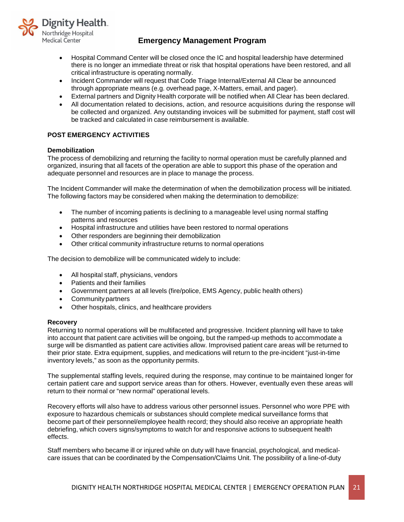

- Hospital Command Center will be closed once the IC and hospital leadership have determined there is no longer an immediate threat or risk that hospital operations have been restored, and all critical infrastructure is operating normally.
- Incident Commander will request that Code Triage Internal/External All Clear be announced through appropriate means (e.g. overhead page, X-Matters, email, and pager).
- External partners and Dignity Health corporate will be notified when All Clear has been declared.
- All documentation related to decisions, action, and resource acquisitions during the response will be collected and organized. Any outstanding invoices will be submitted for payment, staff cost will be tracked and calculated in case reimbursement is available.

## <span id="page-23-0"></span>**POST EMERGENCY ACTIVITIES**

#### <span id="page-23-1"></span>**Demobilization**

The process of demobilizing and returning the facility to normal operation must be carefully planned and organized, insuring that all facets of the operation are able to support this phase of the operation and adequate personnel and resources are in place to manage the process.

The Incident Commander will make the determination of when the demobilization process will be initiated. The following factors may be considered when making the determination to demobilize:

- The number of incoming patients is declining to a manageable level using normal staffing patterns and resources
- Hospital infrastructure and utilities have been restored to normal operations
- Other responders are beginning their demobilization
- Other critical community infrastructure returns to normal operations

The decision to demobilize will be communicated widely to include:

- All hospital staff, physicians, vendors
- Patients and their families
- Government partners at all levels (fire/police, EMS Agency, public health others)
- Community partners
- Other hospitals, clinics, and healthcare providers

#### <span id="page-23-2"></span>**Recovery**

Returning to normal operations will be multifaceted and progressive. Incident planning will have to take into account that patient care activities will be ongoing, but the ramped-up methods to accommodate a surge will be dismantled as patient care activities allow. Improvised patient care areas will be returned to their prior state. Extra equipment, supplies, and medications will return to the pre-incident "just-in-time inventory levels," as soon as the opportunity permits.

The supplemental staffing levels, required during the response, may continue to be maintained longer for certain patient care and support service areas than for others. However, eventually even these areas will return to their normal or "new normal" operational levels.

Recovery efforts will also have to address various other personnel issues. Personnel who wore PPE with exposure to hazardous chemicals or substances should complete medical surveillance forms that become part of their personnel/employee health record; they should also receive an appropriate health debriefing, which covers signs/symptoms to watch for and responsive actions to subsequent health effects.

Staff members who became ill or injured while on duty will have financial, psychological, and medicalcare issues that can be coordinated by the Compensation/Claims Unit. The possibility of a line-of-duty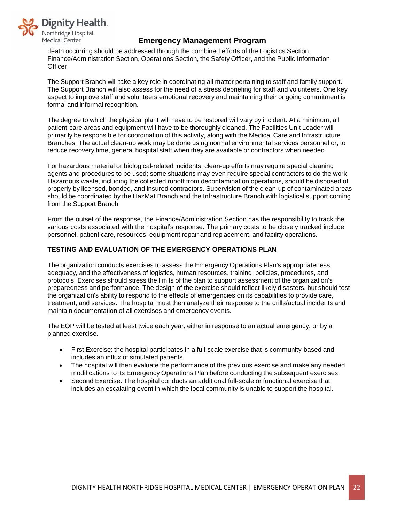

death occurring should be addressed through the combined efforts of the Logistics Section, Finance/Administration Section, Operations Section, the Safety Officer, and the Public Information Officer.

The Support Branch will take a key role in coordinating all matter pertaining to staff and family support. The Support Branch will also assess for the need of a stress debriefing for staff and volunteers. One key aspect to improve staff and volunteers emotional recovery and maintaining their ongoing commitment is formal and informal recognition.

The degree to which the physical plant will have to be restored will vary by incident. At a minimum, all patient-care areas and equipment will have to be thoroughly cleaned. The Facilities Unit Leader will primarily be responsible for coordination of this activity, along with the Medical Care and Infrastructure Branches. The actual clean-up work may be done using normal environmental services personnel or, to reduce recovery time, general hospital staff when they are available or contractors when needed.

For hazardous material or biological-related incidents, clean-up efforts may require special cleaning agents and procedures to be used; some situations may even require special contractors to do the work. Hazardous waste, including the collected runoff from decontamination operations, should be disposed of properly by licensed, bonded, and insured contractors. Supervision of the clean-up of contaminated areas should be coordinated by the HazMat Branch and the Infrastructure Branch with logistical support coming from the Support Branch.

From the outset of the response, the Finance/Administration Section has the responsibility to track the various costs associated with the hospital's response. The primary costs to be closely tracked include personnel, patient care, resources, equipment repair and replacement, and facility operations.

## <span id="page-24-0"></span>**TESTING AND EVALUATION OF THE EMERGENCY OPERATIONS PLAN**

The organization conducts exercises to assess the Emergency Operations Plan's appropriateness, adequacy, and the effectiveness of logistics, human resources, training, policies, procedures, and protocols. Exercises should stress the limits of the plan to support assessment of the organization's preparedness and performance. The design of the exercise should reflect likely disasters, but should test the organization's ability to respond to the effects of emergencies on its capabilities to provide care, treatment, and services. The hospital must then analyze their response to the drills/actual incidents and maintain documentation of all exercises and emergency events.

The EOP will be tested at least twice each year, either in response to an actual emergency, or by a planned exercise.

- First Exercise: the hospital participates in a full-scale exercise that is community-based and includes an influx of simulated patients.
- The hospital will then evaluate the performance of the previous exercise and make any needed modifications to its Emergency Operations Plan before conducting the subsequent exercises.
- Second Exercise: The hospital conducts an additional full-scale or functional exercise that includes an escalating event in which the local community is unable to support the hospital.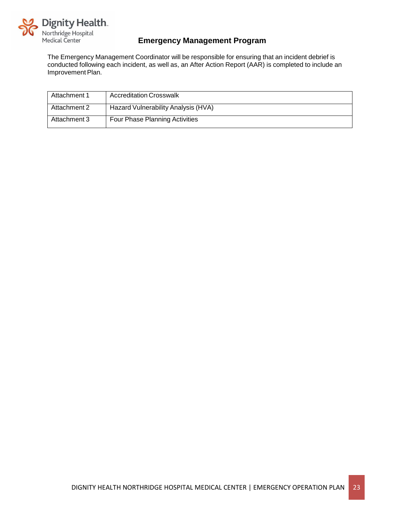

The Emergency Management Coordinator will be responsible for ensuring that an incident debrief is conducted following each incident, as well as, an After Action Report (AAR) is completed to include an Improvement Plan.

| Attachment 1 | <b>Accreditation Crosswalk</b>      |
|--------------|-------------------------------------|
| Attachment 2 | Hazard Vulnerability Analysis (HVA) |
| Attachment 3 | Four Phase Planning Activities      |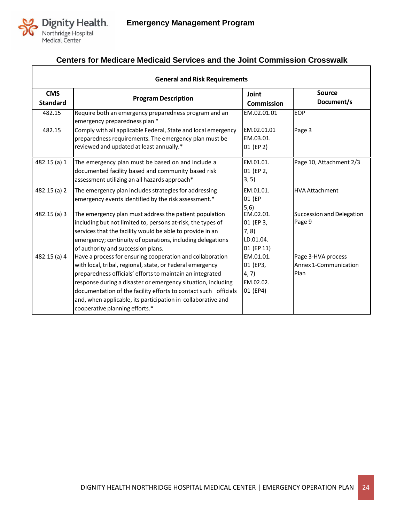

 $\overline{\Gamma}$ 

# **Centers for Medicare Medicaid Services and the Joint Commission Crosswalk**

| <b>General and Risk Requirements</b> |                                                                                                                                                                                                                                                     |                                             |                                                     |  |
|--------------------------------------|-----------------------------------------------------------------------------------------------------------------------------------------------------------------------------------------------------------------------------------------------------|---------------------------------------------|-----------------------------------------------------|--|
| <b>CMS</b><br><b>Standard</b>        | <b>Program Description</b>                                                                                                                                                                                                                          | Joint<br><b>Commission</b>                  | <b>Source</b><br>Document/s                         |  |
| 482.15                               | Require both an emergency preparedness program and an<br>emergency preparedness plan *                                                                                                                                                              | EM.02.01.01                                 | <b>EOP</b>                                          |  |
| 482.15                               | Comply with all applicable Federal, State and local emergency<br>preparedness requirements. The emergency plan must be<br>reviewed and updated at least annually.*                                                                                  | EM.02.01.01<br>EM.03.01.<br>01 (EP 2)       | Page 3                                              |  |
| 482.15 (a) 1                         | The emergency plan must be based on and include a<br>documented facility based and community based risk                                                                                                                                             | EM.01.01.<br>01 (EP 2,                      | Page 10, Attachment 2/3                             |  |
|                                      | assessment utilizing an all hazards approach*                                                                                                                                                                                                       | 3, 5)                                       |                                                     |  |
| 482.15 (a) 2                         | The emergency plan includes strategies for addressing<br>emergency events identified by the risk assessment.*                                                                                                                                       | EM.01.01.<br>01 (EP                         | <b>HVA Attachment</b>                               |  |
| 482.15 (a) 3                         | The emergency plan must address the patient population<br>including but not limited to, persons at-risk, the types of                                                                                                                               | (5,6)<br>EM.02.01.<br>01 (EP 3,             | Succession and Delegation<br>Page 9                 |  |
|                                      | services that the facility would be able to provide in an<br>emergency; continuity of operations, including delegations<br>of authority and succession plans.                                                                                       | 7, 8)<br>LD.01.04.<br>01 (EP 11)            |                                                     |  |
| 482.15 (a) 4                         | Have a process for ensuring cooperation and collaboration<br>with local, tribal, regional, state, or Federal emergency<br>preparedness officials' efforts to maintain an integrated<br>response during a disaster or emergency situation, including | EM.01.01.<br>01 (EP3,<br>4, 7)<br>EM.02.02. | Page 3-HVA process<br>Annex 1-Communication<br>Plan |  |
|                                      | documentation of the facility efforts to contact such officials<br>and, when applicable, its participation in collaborative and<br>cooperative planning efforts.*                                                                                   | 01 (EP4)                                    |                                                     |  |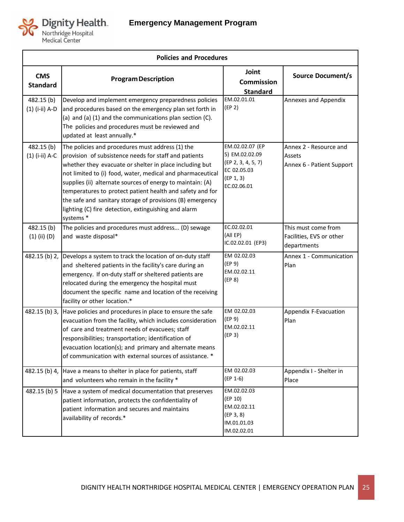

| <b>Policies and Procedures</b> |                                                                                                                                                                                                                                                                                                                                                                                                                                                                                                 |                                                                                                    |                                                                |
|--------------------------------|-------------------------------------------------------------------------------------------------------------------------------------------------------------------------------------------------------------------------------------------------------------------------------------------------------------------------------------------------------------------------------------------------------------------------------------------------------------------------------------------------|----------------------------------------------------------------------------------------------------|----------------------------------------------------------------|
| <b>CMS</b><br><b>Standard</b>  | <b>Program Description</b>                                                                                                                                                                                                                                                                                                                                                                                                                                                                      | Joint<br><b>Commission</b><br><b>Standard</b>                                                      | <b>Source Document/s</b>                                       |
| 482.15(b)<br>(1) (i-ii) A-D    | Develop and implement emergency preparedness policies<br>and procedures based on the emergency plan set forth in<br>(a) and (a) (1) and the communications plan section (C).<br>The policies and procedures must be reviewed and<br>updated at least annually.*                                                                                                                                                                                                                                 | EM.02.01.01<br>(EP <sub>2</sub> )                                                                  | Annexes and Appendix                                           |
| 482.15(b)<br>(1) (i-ii) A-C    | The policies and procedures must address (1) the<br>provision of subsistence needs for staff and patients<br>whether they evacuate or shelter in place including but<br>not limited to (i) food, water, medical and pharmaceutical<br>supplies (ii) alternate sources of energy to maintain: (A)<br>temperatures to protect patient health and safety and for<br>the safe and sanitary storage of provisions (B) emergency<br>lighting (C) fire detection, extinguishing and alarm<br>systems * | EM.02.02.07 (EP<br>5) EM.02.02.09<br>(EP 2, 3, 4, 5, 7)<br>EC 02.05.03<br>(EP 1, 3)<br>EC.02.06.01 | Annex 2 - Resource and<br>Assets<br>Annex 6 - Patient Support  |
| 482.15(b)<br>$(1)$ (ii) $(D)$  | The policies and procedures must address (D) sewage<br>and waste disposal*                                                                                                                                                                                                                                                                                                                                                                                                                      | EC.02.02.01<br>(All EP)<br>IC.02.02.01 (EP3)                                                       | This must come from<br>Facilities, EVS or other<br>departments |
| 482.15 (b) 2,                  | Develops a system to track the location of on-duty staff<br>and sheltered patients in the facility's care during an<br>emergency. If on-duty staff or sheltered patients are<br>relocated during the emergency the hospital must<br>document the specific name and location of the receiving<br>facility or other location.*                                                                                                                                                                    | EM 02.02.03<br>(EP 9)<br>EM.02.02.11<br>(EP 8)                                                     | Annex 1 - Communication<br>Plan                                |
| 482.15 (b) 3,                  | Have policies and procedures in place to ensure the safe<br>evacuation from the facility, which includes consideration<br>of care and treatment needs of evacuees; staff<br>responsibilities; transportation; identification of<br>evacuation location(s); and primary and alternate means<br>of communication with external sources of assistance. *                                                                                                                                           | EM 02.02.03<br>(EP 9)<br>EM.02.02.11<br>(EP <sub>3</sub> )                                         | Appendix F-Evacuation<br>Plan                                  |
| 482.15 (b) 4,                  | Have a means to shelter in place for patients, staff<br>and volunteers who remain in the facility *                                                                                                                                                                                                                                                                                                                                                                                             | EM 02.02.03<br>$(EP 1-6)$                                                                          | Appendix I - Shelter in<br>Place                               |
| 482.15 (b) 5                   | Have a system of medical documentation that preserves<br>patient information, protects the confidentiality of<br>patient information and secures and maintains<br>availability of records.*                                                                                                                                                                                                                                                                                                     | EM.02.02.03<br>(EP 10)<br>EM.02.02.11<br>(EP 3, 8)<br>IM.01.01.03<br>IM.02.02.01                   |                                                                |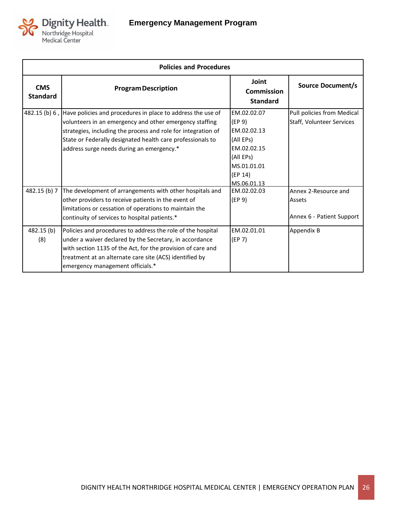

|                               | <b>Policies and Procedures</b>                                                                                                                                                                                                                                                                                   |                                                                                                                        |                                                             |  |
|-------------------------------|------------------------------------------------------------------------------------------------------------------------------------------------------------------------------------------------------------------------------------------------------------------------------------------------------------------|------------------------------------------------------------------------------------------------------------------------|-------------------------------------------------------------|--|
| <b>CMS</b><br><b>Standard</b> | <b>Program Description</b>                                                                                                                                                                                                                                                                                       | Joint<br>Commission<br><b>Standard</b>                                                                                 | <b>Source Document/s</b>                                    |  |
|                               | 482.15 (b) 6, Have policies and procedures in place to address the use of<br>volunteers in an emergency and other emergency staffing<br>strategies, including the process and role for integration of<br>State or Federally designated health care professionals to<br>address surge needs during an emergency.* | EM.02.02.07<br>(EP 9)<br>EM.02.02.13<br>(All EPs)<br>EM.02.02.15<br>(All EPs)<br>MS.01.01.01<br>(EP 14)<br>MS.06.01.13 | Pull policies from Medical<br>Staff, Volunteer Services     |  |
| 482.15 (b) 7                  | The development of arrangements with other hospitals and<br>other providers to receive patients in the event of<br>limitations or cessation of operations to maintain the<br>continuity of services to hospital patients.*                                                                                       | EM.02.02.03<br>(EP 9)                                                                                                  | Annex 2-Resource and<br>Assets<br>Annex 6 - Patient Support |  |
| 482.15(b)<br>(8)              | Policies and procedures to address the role of the hospital<br>under a waiver declared by the Secretary, in accordance<br>with section 1135 of the Act, for the provision of care and<br>treatment at an alternate care site (ACS) identified by<br>emergency management officials.*                             | EM.02.01.01<br>(EP 7)                                                                                                  | Appendix B                                                  |  |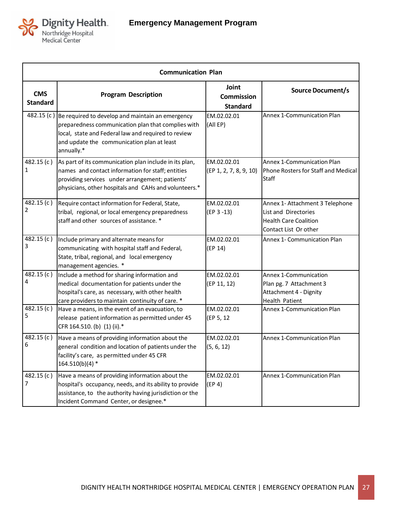

| <b>Communication Plan</b>     |                                                                                                                                                                                                                           |                                               |                                                                                                                  |
|-------------------------------|---------------------------------------------------------------------------------------------------------------------------------------------------------------------------------------------------------------------------|-----------------------------------------------|------------------------------------------------------------------------------------------------------------------|
| <b>CMS</b><br><b>Standard</b> | <b>Program Description</b>                                                                                                                                                                                                | Joint<br><b>Commission</b><br><b>Standard</b> | <b>Source Document/s</b>                                                                                         |
| 482.15 (c)                    | Be required to develop and maintain an emergency<br>preparedness communication plan that complies with<br>local, state and Federal law and required to review<br>and update the communication plan at least<br>annually.* | EM.02.02.01<br>(All EP)                       | <b>Annex 1-Communication Plan</b>                                                                                |
| 482.15 $(c)$<br>1             | As part of its communication plan include in its plan,<br>names and contact information for staff; entities<br>providing services under arrangement; patients'<br>physicians, other hospitals and CAHs and volunteers.*   | EM.02.02.01<br>(EP 1, 2, 7, 8, 9, 10)         | <b>Annex 1-Communication Plan</b><br>Phone Rosters for Staff and Medical<br><b>Staff</b>                         |
| 482.15(c)<br>2                | Require contact information for Federal, State,<br>tribal, regional, or local emergency preparedness<br>staff and other sources of assistance. *                                                                          | EM.02.02.01<br>$(EP 3 - 13)$                  | Annex 1- Attachment 3 Telephone<br>List and Directories<br><b>Health Care Coalition</b><br>Contact List Or other |
| 482.15(c)<br>3                | Include primary and alternate means for<br>communicating with hospital staff and Federal,<br>State, tribal, regional, and local emergency<br>management agencies. *                                                       | EM.02.02.01<br>(EP 14)                        | Annex 1- Communication Plan                                                                                      |
| 482.15 (c)<br>4               | Include a method for sharing information and<br>medical documentation for patients under the<br>hospital's care, as necessary, with other health<br>care providers to maintain continuity of care. *                      | EM.02.02.01<br>(EP 11, 12)                    | Annex 1-Communication<br>Plan pg. 7 Attachment 3<br>Attachment 4 - Dignity<br><b>Health Patient</b>              |
| 482.15 $(c)$<br>5             | Have a means, in the event of an evacuation, to<br>release patient information as permitted under 45<br>CFR 164.510. (b) (1) (ii).*                                                                                       | EM.02.02.01<br>(EP 5, 12                      | <b>Annex 1-Communication Plan</b>                                                                                |
| 482.15 $(c)$<br>6             | Have a means of providing information about the<br>general condition and location of patients under the<br>facility's care, as permitted under 45 CFR<br>$164.510(b)(4)$ *                                                | EM.02.02.01<br>(5, 6, 12)                     | Annex 1-Communication Plan                                                                                       |
| 482.15 (c)<br>7               | Have a means of providing information about the<br>hospital's occupancy, needs, and its ability to provide<br>assistance, to the authority having jurisdiction or the<br>Incident Command Center, or designee.*           | EM.02.02.01<br>(EP 4)                         | Annex 1-Communication Plan                                                                                       |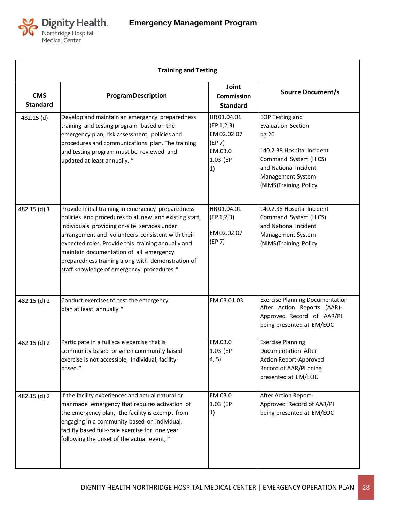

| <b>Training and Testing</b>   |                                                                                                                                                                                                                                                                                                                                                                                                                     |                                                                                  |                                                                                                                                                                                            |  |  |  |
|-------------------------------|---------------------------------------------------------------------------------------------------------------------------------------------------------------------------------------------------------------------------------------------------------------------------------------------------------------------------------------------------------------------------------------------------------------------|----------------------------------------------------------------------------------|--------------------------------------------------------------------------------------------------------------------------------------------------------------------------------------------|--|--|--|
| <b>CMS</b><br><b>Standard</b> | <b>Program Description</b>                                                                                                                                                                                                                                                                                                                                                                                          | Joint<br><b>Commission</b><br><b>Standard</b>                                    | <b>Source Document/s</b>                                                                                                                                                                   |  |  |  |
| 482.15 (d)                    | Develop and maintain an emergency preparedness<br>training and testing program based on the<br>emergency plan, risk assessment, policies and<br>procedures and communications plan. The training<br>and testing program must be reviewed and<br>updated at least annually. *                                                                                                                                        | HR01.04.01<br>(EP 1, 2, 3)<br>EM 02.02.07<br>(EP 7)<br>EM.03.0<br>1.03 (EP<br>1) | <b>EOP Testing and</b><br><b>Evaluation Section</b><br>pg 20<br>140.2.38 Hospital Incident<br>Command System (HICS)<br>and National Incident<br>Management System<br>(NIMS)Training Policy |  |  |  |
| 482.15 (d) 1                  | Provide initial training in emergency preparedness<br>policies and procedures to all new and existing staff,<br>individuals providing on-site services under<br>arrangement and volunteers consistent with their<br>expected roles. Provide this training annually and<br>maintain documentation of all emergency<br>preparedness training along with demonstration of<br>staff knowledge of emergency procedures.* | HR01.04.01<br>(EP 1, 2, 3)<br>EM 02.02.07<br>(EP 7)                              | 140.2.38 Hospital Incident<br>Command System (HICS)<br>and National Incident<br>Management System<br>(NIMS)Training Policy                                                                 |  |  |  |
| 482.15 (d) 2                  | Conduct exercises to test the emergency<br>plan at least annually *                                                                                                                                                                                                                                                                                                                                                 | EM.03.01.03                                                                      | <b>Exercise Planning Documentation</b><br>After Action Reports (AAR)-<br>Approved Record of AAR/PI<br>being presented at EM/EOC                                                            |  |  |  |
| 482.15 (d) 2                  | Participate in a full scale exercise that is<br>community based or when community based<br>exercise is not accessible, individual, facility-<br>based.*                                                                                                                                                                                                                                                             | EM.03.0<br>1.03 (EP<br>4, 5)                                                     | <b>Exercise Planning</b><br>Documentation After<br>Action Report-Approved<br>Record of AAR/PI being<br>presented at EM/EOC                                                                 |  |  |  |
| 482.15 (d) 2                  | If the facility experiences and actual natural or<br>manmade emergency that requires activation of<br>the emergency plan, the facility is exempt from<br>engaging in a community based or individual,<br>facility based full-scale exercise for one year<br>following the onset of the actual event, *                                                                                                              | EM.03.0<br>1.03 (EP<br>1)                                                        | After Action Report-<br>Approved Record of AAR/PI<br>being presented at EM/EOC                                                                                                             |  |  |  |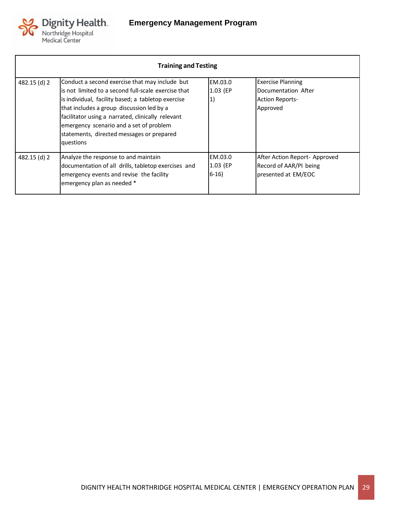

| <b>Training and Testing</b> |                                                                                                                                                                                                                                                                                                                                                                    |                               |                                                                                       |  |  |
|-----------------------------|--------------------------------------------------------------------------------------------------------------------------------------------------------------------------------------------------------------------------------------------------------------------------------------------------------------------------------------------------------------------|-------------------------------|---------------------------------------------------------------------------------------|--|--|
| 482.15 (d) 2                | Conduct a second exercise that may include but<br>is not limited to a second full-scale exercise that<br>is individual, facility based; a tabletop exercise<br>that includes a group discussion led by a<br>facilitator using a narrated, clinically relevant<br>emergency scenario and a set of problem<br>statements, directed messages or prepared<br>questions | EM.03.0<br>1.03 (EP<br>1)     | <b>Exercise Planning</b><br>Documentation After<br><b>Action Reports-</b><br>Approved |  |  |
| 482.15 (d) 2                | Analyze the response to and maintain<br>documentation of all drills, tabletop exercises and<br>emergency events and revise the facility<br>emergency plan as needed *                                                                                                                                                                                              | EM.03.0<br>1.03 (EP<br>$6-16$ | After Action Report- Approved<br>Record of AAR/PI being<br>presented at EM/EOC        |  |  |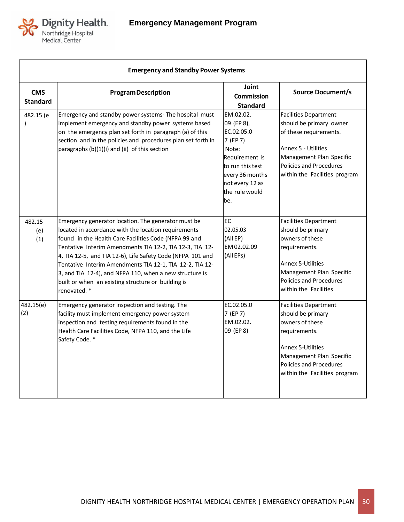

| <b>Emergency and Standby Power Systems</b> |                                                                                                                                                                                                                                                                                                                                                                                                                                                                                             |                                                                                                                                                                 |                                                                                                                                                                                                           |  |  |
|--------------------------------------------|---------------------------------------------------------------------------------------------------------------------------------------------------------------------------------------------------------------------------------------------------------------------------------------------------------------------------------------------------------------------------------------------------------------------------------------------------------------------------------------------|-----------------------------------------------------------------------------------------------------------------------------------------------------------------|-----------------------------------------------------------------------------------------------------------------------------------------------------------------------------------------------------------|--|--|
| <b>CMS</b><br><b>Standard</b>              | <b>Program Description</b>                                                                                                                                                                                                                                                                                                                                                                                                                                                                  | Joint<br><b>Commission</b><br><b>Standard</b>                                                                                                                   | <b>Source Document/s</b>                                                                                                                                                                                  |  |  |
| 482.15 (e                                  | Emergency and standby power systems- The hospital must<br>implement emergency and standby power systems based<br>on the emergency plan set forth in paragraph (a) of this<br>section and in the policies and procedures plan set forth in<br>paragraphs (b)(1)(i) and (ii) of this section                                                                                                                                                                                                  | EM.02.02.<br>09 (EP 8),<br>EC.02.05.0<br>7 (EP 7)<br>Note:<br>Requirement is<br>to run this test<br>every 36 months<br>not every 12 as<br>the rule would<br>be. | <b>Facilities Department</b><br>should be primary owner<br>of these requirements.<br>Annex 5 - Utilities<br>Management Plan Specific<br>Policies and Procedures<br>within the Facilities program          |  |  |
| 482.15<br>(e)<br>(1)                       | Emergency generator location. The generator must be<br>located in accordance with the location requirements<br>found in the Health Care Facilities Code (NFPA 99 and<br>Tentative Interim Amendments TIA 12-2, TIA 12-3, TIA 12-<br>4, TIA 12-5, and TIA 12-6), Life Safety Code (NFPA 101 and<br>Tentative Interim Amendments TIA 12-1, TIA 12-2, TIA 12-<br>3, and TIA 12-4), and NFPA 110, when a new structure is<br>built or when an existing structure or building is<br>renovated. * | EC<br>02.05.03<br>(All EP)<br>EM 02.02.09<br>(All EPs)                                                                                                          | <b>Facilities Department</b><br>should be primary<br>owners of these<br>requirements.<br><b>Annex 5-Utilities</b><br>Management Plan Specific<br>Policies and Procedures<br>within the Facilities         |  |  |
| 482.15(e)<br>(2)                           | Emergency generator inspection and testing. The<br>facility must implement emergency power system<br>inspection and testing requirements found in the<br>Health Care Facilities Code, NFPA 110, and the Life<br>Safety Code. *                                                                                                                                                                                                                                                              | EC.02.05.0<br>7 (EP 7)<br>EM.02.02.<br>09 (EP 8)                                                                                                                | <b>Facilities Department</b><br>should be primary<br>owners of these<br>requirements.<br><b>Annex 5-Utilities</b><br>Management Plan Specific<br>Policies and Procedures<br>within the Facilities program |  |  |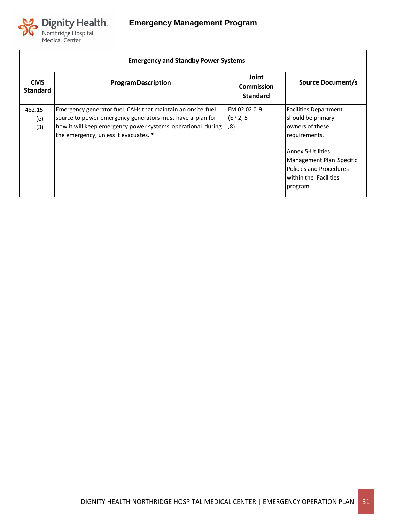

Г

| <b>Emergency and Standby Power Systems</b> |                                                                                                                                                                                                                                  |                                               |                                                                                                                                                                                                                     |  |  |
|--------------------------------------------|----------------------------------------------------------------------------------------------------------------------------------------------------------------------------------------------------------------------------------|-----------------------------------------------|---------------------------------------------------------------------------------------------------------------------------------------------------------------------------------------------------------------------|--|--|
| <b>CMS</b><br><b>Standard</b>              | <b>Program Description</b>                                                                                                                                                                                                       | Joint<br><b>Commission</b><br><b>Standard</b> | <b>Source Document/s</b>                                                                                                                                                                                            |  |  |
| 482.15<br>(e)<br>(3)                       | Emergency generator fuel. CAHs that maintain an onsite fuel<br>source to power emergency generators must have a plan for<br>how it will keep emergency power systems operational during<br>the emergency, unless it evacuates. * | EM.02.02.0 9<br>(EP 2, 5<br>, 8)              | <b>Facilities Department</b><br>should be primary<br>owners of these<br>requirements.<br><b>Annex 5-Utilities</b><br>Management Plan Specific<br><b>Policies and Procedures</b><br>within the Facilities<br>program |  |  |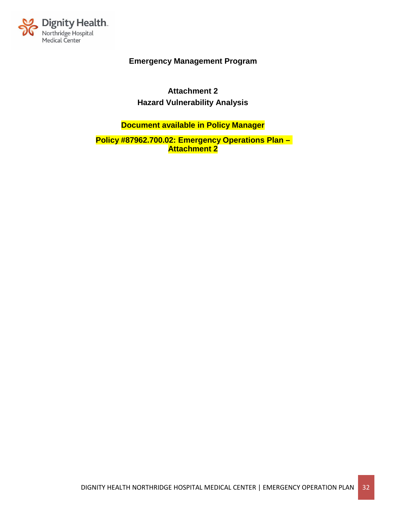

**Attachment 2 Hazard Vulnerability Analysis**

**Document available in Policy Manager**

**Policy #87962.700.02: Emergency Operations Plan – Attachment 2**